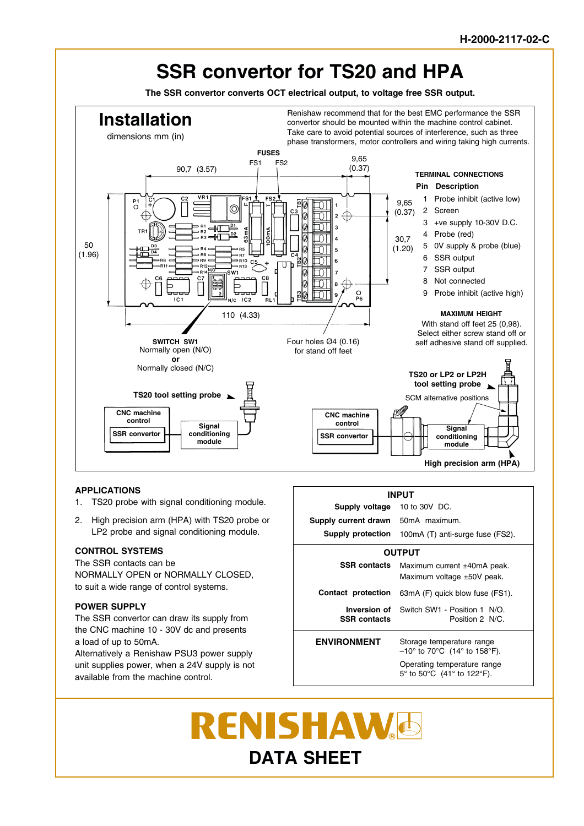

### **APPLICATIONS**

- 1. TS20 probe with signal conditioning module.
- 2. High precision arm (HPA) with TS20 probe or LP2 probe and signal conditioning module.

#### **CONTROL SYSTEMS**

The SSR contacts can be NORMALLY OPEN or NORMALLY CLOSED, to suit a wide range of control systems.

### **POWER SUPPLY**

The SSR convertor can draw its supply from the CNC machine 10 - 30V dc and presents a load of up to 50mA.

Alternatively a Renishaw PSU3 power supply unit supplies power, when a 24V supply is not available from the machine control.



# **RENISHAW DATA SHEET**